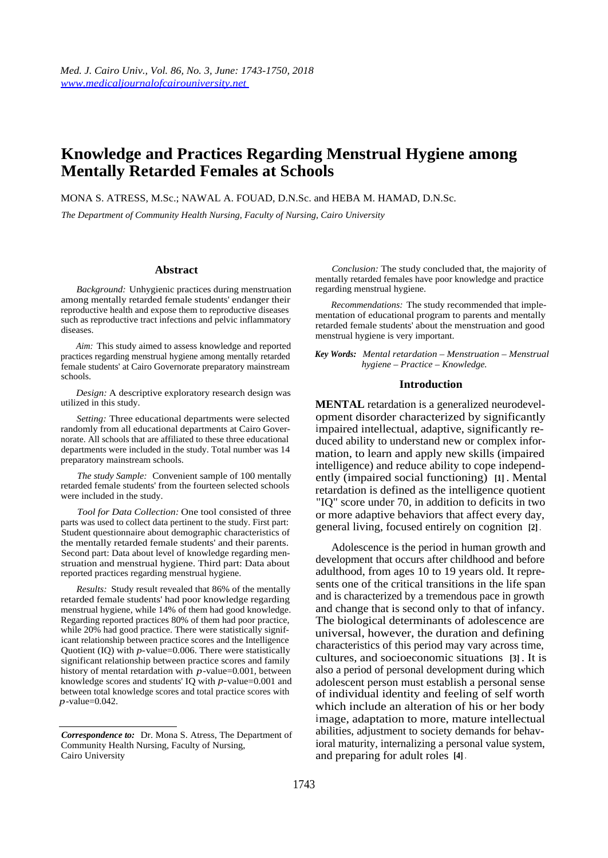# **Knowledge and Practices Regarding Menstrual Hygiene among Mentally Retarded Females at Schools**

MONA S. ATRESS, M.Sc.; NAWAL A. FOUAD, D.N.Sc. and HEBA M. HAMAD, D.N.Sc.

*The Department of Community Health Nursing, Faculty of Nursing, Cairo University* 

#### **Abstract**

*Background:* Unhygienic practices during menstruation among mentally retarded female students' endanger their reproductive health and expose them to reproductive diseases such as reproductive tract infections and pelvic inflammatory diseases.

*Aim:* This study aimed to assess knowledge and reported practices regarding menstrual hygiene among mentally retarded female students' at Cairo Governorate preparatory mainstream schools.

*Design:* A descriptive exploratory research design was utilized in this study.

*Setting:* Three educational departments were selected randomly from all educational departments at Cairo Governorate. All schools that are affiliated to these three educational departments were included in the study. Total number was 14 preparatory mainstream schools.

*The study Sample:* Convenient sample of 100 mentally retarded female students' from the fourteen selected schools were included in the study.

*Tool for Data Collection:* One tool consisted of three parts was used to collect data pertinent to the study. First part: Student questionnaire about demographic characteristics of the mentally retarded female students' and their parents. Second part: Data about level of knowledge regarding menstruation and menstrual hygiene. Third part: Data about reported practices regarding menstrual hygiene.

*Results:* Study result revealed that 86% of the mentally retarded female students' had poor knowledge regarding menstrual hygiene, while 14% of them had good knowledge. Regarding reported practices 80% of them had poor practice, while 20% had good practice. There were statistically significant relationship between practice scores and the Intelligence Quotient (IQ) with *p-*value=0.006. There were statistically significant relationship between practice scores and family history of mental retardation with *p*-value=0.001, between knowledge scores and students' IQ with *p-*value=0.001 and between total knowledge scores and total practice scores with *p*-value=0.042.

*Conclusion:* The study concluded that, the majority of mentally retarded females have poor knowledge and practice regarding menstrual hygiene.

*Recommendations:* The study recommended that implementation of educational program to parents and mentally retarded female students' about the menstruation and good menstrual hygiene is very important.

*Key Words: Mental retardation – Menstruation – Menstrual hygiene – Practice – Knowledge.* 

#### **Introduction**

**MENTAL** retardation is a generalized neurodevelopment disorder characterized by significantly impaired intellectual, adaptive, significantly reduced ability to understand new or complex information, to learn and apply new skills (impaired intelligence) and reduce ability to cope independently (impaired social functioning) **[1]** . Mental retardation is defined as the intelligence quotient "IQ" score under 70, in addition to deficits in two or more adaptive behaviors that affect every day, general living, focused entirely on cognition **[2]** .

Adolescence is the period in human growth and development that occurs after childhood and before adulthood, from ages 10 to 19 years old. It represents one of the critical transitions in the life span and is characterized by a tremendous pace in growth and change that is second only to that of infancy. The biological determinants of adolescence are universal, however, the duration and defining characteristics of this period may vary across time, cultures, and socioeconomic situations **[3]** . It is also a period of personal development during which adolescent person must establish a personal sense of individual identity and feeling of self worth which include an alteration of his or her body image, adaptation to more, mature intellectual abilities, adjustment to society demands for behavioral maturity, internalizing a personal value system, and preparing for adult roles **[4]** .

*Correspondence to:* Dr. Mona S. Atress, The Department of Community Health Nursing, Faculty of Nursing, Cairo University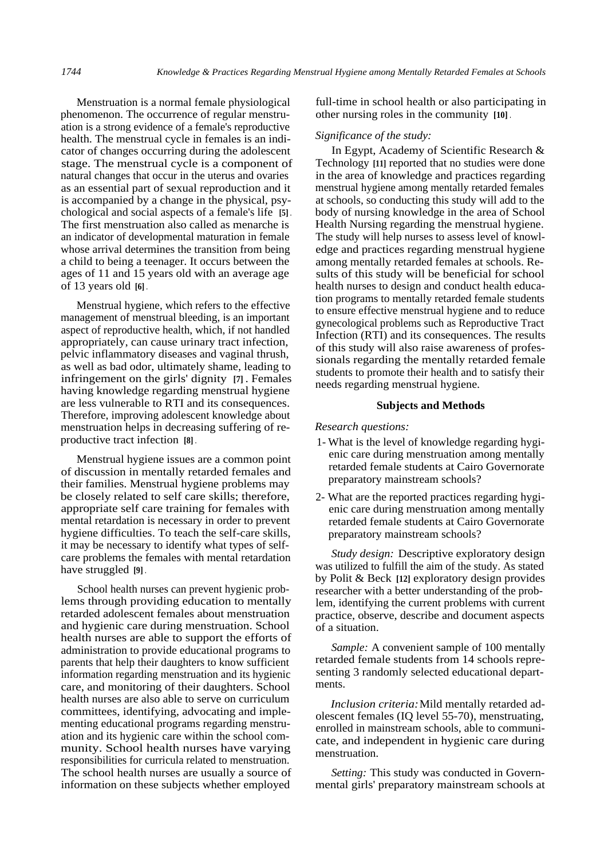Menstruation is a normal female physiological phenomenon. The occurrence of regular menstruation is a strong evidence of a female's reproductive health. The menstrual cycle in females is an indicator of changes occurring during the adolescent stage. The menstrual cycle is a component of natural changes that occur in the uterus and ovaries as an essential part of sexual reproduction and it is accompanied by a change in the physical, psychological and social aspects of a female's life **[5]** . The first menstruation also called as menarche is an indicator of developmental maturation in female whose arrival determines the transition from being a child to being a teenager. It occurs between the ages of 11 and 15 years old with an average age of 13 years old **[6]** .

Menstrual hygiene, which refers to the effective management of menstrual bleeding, is an important aspect of reproductive health, which, if not handled appropriately, can cause urinary tract infection, pelvic inflammatory diseases and vaginal thrush, as well as bad odor, ultimately shame, leading to infringement on the girls' dignity **[7]** . Females having knowledge regarding menstrual hygiene are less vulnerable to RTI and its consequences. Therefore, improving adolescent knowledge about menstruation helps in decreasing suffering of reproductive tract infection **[8]** .

Menstrual hygiene issues are a common point of discussion in mentally retarded females and their families. Menstrual hygiene problems may be closely related to self care skills; therefore, appropriate self care training for females with mental retardation is necessary in order to prevent hygiene difficulties. To teach the self-care skills, it may be necessary to identify what types of selfcare problems the females with mental retardation have struggled **[9]** .

School health nurses can prevent hygienic problems through providing education to mentally retarded adolescent females about menstruation and hygienic care during menstruation. School health nurses are able to support the efforts of administration to provide educational programs to parents that help their daughters to know sufficient information regarding menstruation and its hygienic care, and monitoring of their daughters. School health nurses are also able to serve on curriculum committees, identifying, advocating and implementing educational programs regarding menstruation and its hygienic care within the school community. School health nurses have varying responsibilities for curricula related to menstruation. The school health nurses are usually a source of information on these subjects whether employed

full-time in school health or also participating in other nursing roles in the community **[10]** .

## *Significance of the study:*

In Egypt, Academy of Scientific Research & Technology **[11]** reported that no studies were done in the area of knowledge and practices regarding menstrual hygiene among mentally retarded females at schools, so conducting this study will add to the body of nursing knowledge in the area of School Health Nursing regarding the menstrual hygiene. The study will help nurses to assess level of knowledge and practices regarding menstrual hygiene among mentally retarded females at schools. Results of this study will be beneficial for school health nurses to design and conduct health education programs to mentally retarded female students to ensure effective menstrual hygiene and to reduce gynecological problems such as Reproductive Tract Infection (RTI) and its consequences. The results of this study will also raise awareness of professionals regarding the mentally retarded female students to promote their health and to satisfy their needs regarding menstrual hygiene.

#### **Subjects and Methods**

#### *Research questions:*

- 1- What is the level of knowledge regarding hygienic care during menstruation among mentally retarded female students at Cairo Governorate preparatory mainstream schools?
- 2- What are the reported practices regarding hygienic care during menstruation among mentally retarded female students at Cairo Governorate preparatory mainstream schools?

*Study design:* Descriptive exploratory design was utilized to fulfill the aim of the study. As stated by Polit & Beck **[12]** exploratory design provides researcher with a better understanding of the problem, identifying the current problems with current practice, observe, describe and document aspects of a situation.

*Sample:* A convenient sample of 100 mentally retarded female students from 14 schools representing 3 randomly selected educational departments.

*Inclusion criteria:* Mild mentally retarded adolescent females (IQ level 55-70), menstruating, enrolled in mainstream schools, able to communicate, and independent in hygienic care during menstruation.

*Setting:* This study was conducted in Governmental girls' preparatory mainstream schools at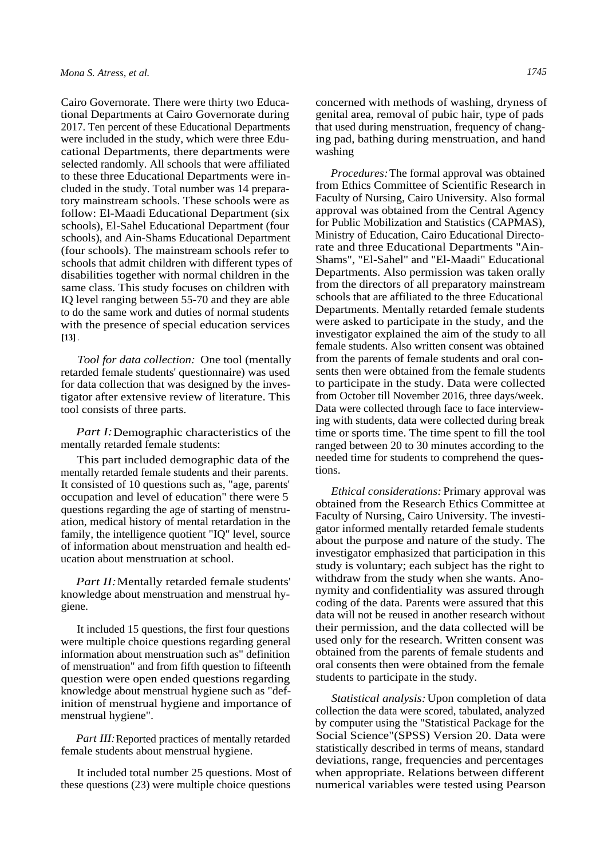Cairo Governorate. There were thirty two Educational Departments at Cairo Governorate during 2017. Ten percent of these Educational Departments were included in the study, which were three Educational Departments, there departments were selected randomly. All schools that were affiliated to these three Educational Departments were included in the study. Total number was 14 preparatory mainstream schools. These schools were as follow: El-Maadi Educational Department (six schools), El-Sahel Educational Department (four schools), and Ain-Shams Educational Department (four schools). The mainstream schools refer to schools that admit children with different types of disabilities together with normal children in the same class. This study focuses on children with IQ level ranging between 55-70 and they are able to do the same work and duties of normal students with the presence of special education services **[13]** .

*Tool for data collection:* One tool (mentally retarded female students' questionnaire) was used for data collection that was designed by the investigator after extensive review of literature. This tool consists of three parts.

*Part I:* Demographic characteristics of the mentally retarded female students:

This part included demographic data of the mentally retarded female students and their parents. It consisted of 10 questions such as, "age, parents' occupation and level of education" there were 5 questions regarding the age of starting of menstruation, medical history of mental retardation in the family, the intelligence quotient "IQ" level, source of information about menstruation and health education about menstruation at school.

*Part II:* Mentally retarded female students' knowledge about menstruation and menstrual hygiene.

It included 15 questions, the first four questions were multiple choice questions regarding general information about menstruation such as" definition of menstruation" and from fifth question to fifteenth question were open ended questions regarding knowledge about menstrual hygiene such as "definition of menstrual hygiene and importance of menstrual hygiene".

*Part III:* Reported practices of mentally retarded female students about menstrual hygiene.

It included total number 25 questions. Most of these questions (23) were multiple choice questions

concerned with methods of washing, dryness of genital area, removal of pubic hair, type of pads that used during menstruation, frequency of changing pad, bathing during menstruation, and hand washing

*Procedures:* The formal approval was obtained from Ethics Committee of Scientific Research in Faculty of Nursing, Cairo University. Also formal approval was obtained from the Central Agency for Public Mobilization and Statistics (CAPMAS), Ministry of Education, Cairo Educational Directorate and three Educational Departments "Ain-Shams", "El-Sahel" and "El-Maadi" Educational Departments. Also permission was taken orally from the directors of all preparatory mainstream schools that are affiliated to the three Educational Departments. Mentally retarded female students were asked to participate in the study, and the investigator explained the aim of the study to all female students. Also written consent was obtained from the parents of female students and oral consents then were obtained from the female students to participate in the study. Data were collected from October till November 2016, three days/week. Data were collected through face to face interviewing with students, data were collected during break time or sports time. The time spent to fill the tool ranged between 20 to 30 minutes according to the needed time for students to comprehend the questions.

*Ethical considerations:* Primary approval was obtained from the Research Ethics Committee at Faculty of Nursing, Cairo University. The investigator informed mentally retarded female students about the purpose and nature of the study. The investigator emphasized that participation in this study is voluntary; each subject has the right to withdraw from the study when she wants. Anonymity and confidentiality was assured through coding of the data. Parents were assured that this data will not be reused in another research without their permission, and the data collected will be used only for the research. Written consent was obtained from the parents of female students and oral consents then were obtained from the female students to participate in the study.

*Statistical analysis:* Upon completion of data collection the data were scored, tabulated, analyzed by computer using the "Statistical Package for the Social Science"(SPSS) Version 20. Data were statistically described in terms of means, standard deviations, range, frequencies and percentages when appropriate. Relations between different numerical variables were tested using Pearson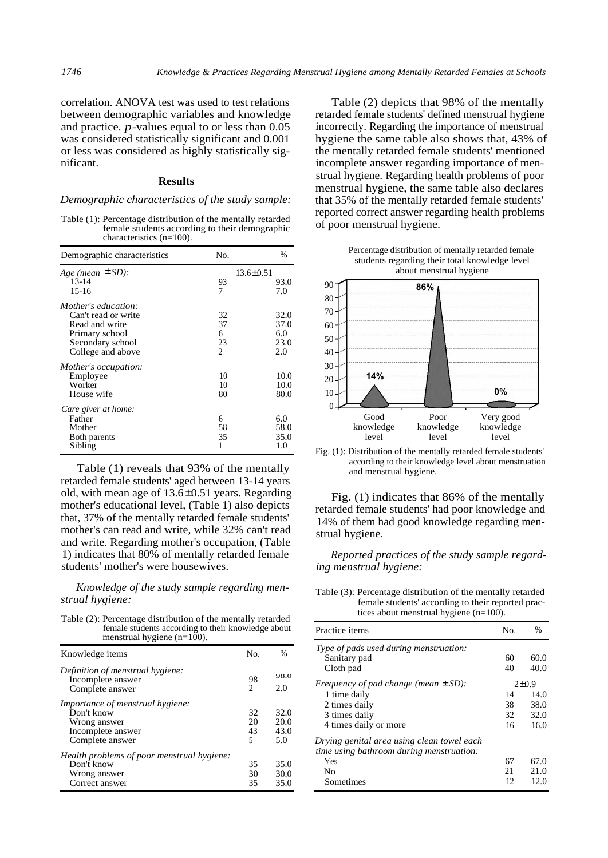correlation. ANOVA test was used to test relations between demographic variables and knowledge and practice. *p*-values equal to or less than 0.05 was considered statistically significant and 0.001 or less was considered as highly statistically significant.

# **Results**

## *Demographic characteristics of the study sample:*

Table (1): Percentage distribution of the mentally retarded female students according to their demographic characteristics (n=100).

| Age (mean $\pm$ SD):<br>$13.6 \pm 0.51$<br>$13 - 14$<br>93<br>$15-16$<br>7<br>7.0<br>Mother's education:<br>Can't read or write<br>32<br>37<br>Read and write<br>Primary school<br>6.0<br>6 | Demographic characteristics | No. | $\frac{0}{0}$ |
|---------------------------------------------------------------------------------------------------------------------------------------------------------------------------------------------|-----------------------------|-----|---------------|
|                                                                                                                                                                                             |                             |     |               |
|                                                                                                                                                                                             |                             |     | 93.0          |
|                                                                                                                                                                                             |                             |     |               |
|                                                                                                                                                                                             |                             |     |               |
|                                                                                                                                                                                             |                             |     | 32.0          |
|                                                                                                                                                                                             |                             |     | 37.0          |
|                                                                                                                                                                                             |                             |     |               |
|                                                                                                                                                                                             | Secondary school            | 23  | 23.0          |
| $\mathfrak{D}$<br>2.0<br>College and above                                                                                                                                                  |                             |     |               |
| Mother's occupation:                                                                                                                                                                        |                             |     |               |
| 10<br>Employee                                                                                                                                                                              |                             |     | 10.0          |
| Worker<br>10                                                                                                                                                                                |                             |     | 10.0          |
| House wife<br>80                                                                                                                                                                            |                             |     | 80.0          |
| Care giver at home:                                                                                                                                                                         |                             |     |               |
| Father<br>6.0<br>6                                                                                                                                                                          |                             |     |               |
| Mother<br>58                                                                                                                                                                                |                             |     | 58.0          |
| 35<br>Both parents                                                                                                                                                                          |                             |     | 35.0          |
| Sibling<br>1.0                                                                                                                                                                              |                             |     |               |

Table (1) reveals that 93% of the mentally retarded female students' aged between 13-14 years old, with mean age of 13.6±0.51 years. Regarding mother's educational level, (Table 1) also depicts that, 37% of the mentally retarded female students' mother's can read and write, while 32% can't read and write. Regarding mother's occupation, (Table 1) indicates that 80% of mentally retarded female students' mother's were housewives.

# *Knowledge of the study sample regarding menstrual hygiene:*

Table (2): Percentage distribution of the mentally retarded female students according to their knowledge about menstrual hygiene  $(n=100)$ .

| Knowledge items                                       | No.            | %    |
|-------------------------------------------------------|----------------|------|
| Definition of menstrual hygiene:<br>Incomplete answer | 98             | 98.0 |
| Complete answer                                       | $\mathfrak{D}$ | 2.0  |
| <i>Importance of menstrual hygiene:</i>               |                |      |
| Don't know                                            | 32             | 32.0 |
| Wrong answer                                          | 20             | 20.0 |
| Incomplete answer                                     | 43             | 43.0 |
| Complete answer                                       | 5              | 5.0  |
| Health problems of poor menstrual hygiene:            |                |      |
| Don't know                                            | 35             | 35.0 |
| Wrong answer                                          | 30             | 30.0 |
| Correct answer                                        | 35             | 35.0 |

Table (2) depicts that 98% of the mentally retarded female students' defined menstrual hygiene incorrectly. Regarding the importance of menstrual hygiene the same table also shows that, 43% of the mentally retarded female students' mentioned incomplete answer regarding importance of menstrual hygiene. Regarding health problems of poor menstrual hygiene, the same table also declares that 35% of the mentally retarded female students' reported correct answer regarding health problems of poor menstrual hygiene.



Fig. (1): Distribution of the mentally retarded female students' according to their knowledge level about menstruation and menstrual hygiene.

Fig. (1) indicates that 86% of the mentally retarded female students' had poor knowledge and 14% of them had good knowledge regarding menstrual hygiene.

*Reported practices of the study sample regarding menstrual hygiene:* 

Table (3): Percentage distribution of the mentally retarded female students' according to their reported practices about menstrual hygiene (n=100).

| Practice items                                                                         | No.        | $\%$ |
|----------------------------------------------------------------------------------------|------------|------|
| Type of pads used during menstruation:                                                 |            |      |
| Sanitary pad                                                                           | 60         | 60.0 |
| Cloth pad                                                                              | 40         | 40.0 |
| Frequency of pad change (mean $\pm SD$ ):                                              | $2\pm 0.9$ |      |
| 1 time daily                                                                           | 14         | 14.0 |
| 2 times daily                                                                          | 38         | 38.0 |
| 3 times daily                                                                          | 32         | 32.0 |
| 4 times daily or more                                                                  | 16         | 16.0 |
| Drying genital area using clean towel each<br>time using bathroom during menstruation: |            |      |
| Yes                                                                                    | 67         | 67.0 |
| No                                                                                     | 21         | 21.0 |
| Sometimes                                                                              | 12         | 12.0 |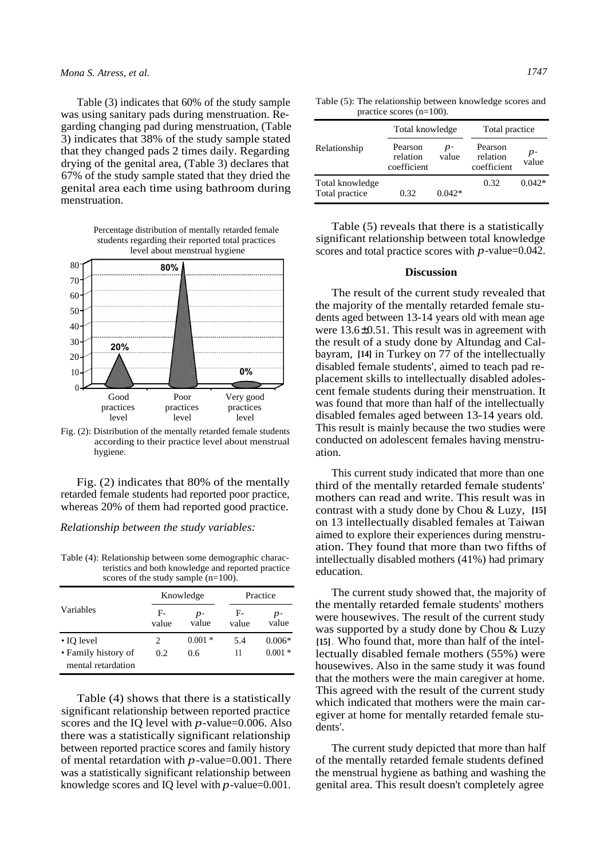Table (3) indicates that 60% of the study sample was using sanitary pads during menstruation. Regarding changing pad during menstruation, (Table 3) indicates that 38% of the study sample stated that they changed pads 2 times daily. Regarding drying of the genital area, (Table 3) declares that 67% of the study sample stated that they dried the genital area each time using bathroom during menstruation.



Fig. (2): Distribution of the mentally retarded female students according to their practice level about menstrual hygiene.

Fig. (2) indicates that 80% of the mentally retarded female students had reported poor practice, whereas 20% of them had reported good practice.

*Relationship between the study variables:* 

Table (4): Relationship between some demographic characteristics and both knowledge and reported practice scores of the study sample (n=100).

| Variables                                 | Knowledge     |               | Practice    |               |
|-------------------------------------------|---------------|---------------|-------------|---------------|
|                                           | $F-$<br>value | $p-$<br>value | F-<br>value | $p-$<br>value |
| • IO level                                |               | $0.001*$      | 5.4         | $0.006*$      |
| • Family history of<br>mental retardation | 0.2           | 0.6           | 11          | $0.001*$      |

Table (4) shows that there is a statistically significant relationship between reported practice scores and the IQ level with *p*-value=0.006. Also there was a statistically significant relationship between reported practice scores and family history of mental retardation with *p*-value=0.001. There was a statistically significant relationship between knowledge scores and IQ level with *p*-value=0.001.

Table (5): The relationship between knowledge scores and practice scores (n=100).

|                                   | Total knowledge                    |               | Total practice                     |             |
|-----------------------------------|------------------------------------|---------------|------------------------------------|-------------|
| Relationship                      | Pearson<br>relation<br>coefficient | $p-$<br>value | Pearson<br>relation<br>coefficient | p-<br>value |
| Total knowledge<br>Total practice | 0.32                               | $0.042*$      | 0.32                               | $0.042*$    |

Table (5) reveals that there is a statistically significant relationship between total knowledge scores and total practice scores with *p*-value=0.042.

# **Discussion**

The result of the current study revealed that the majority of the mentally retarded female students aged between 13-14 years old with mean age were 13.6±0.51. This result was in agreement with the result of a study done by Altundag and Calbayram, **[14]** in Turkey on 77 of the intellectually disabled female students', aimed to teach pad replacement skills to intellectually disabled adolescent female students during their menstruation. It was found that more than half of the intellectually disabled females aged between 13-14 years old. This result is mainly because the two studies were conducted on adolescent females having menstruation.

This current study indicated that more than one third of the mentally retarded female students' mothers can read and write. This result was in contrast with a study done by Chou & Luzy, **[15]**  on 13 intellectually disabled females at Taiwan aimed to explore their experiences during menstruation. They found that more than two fifths of intellectually disabled mothers (41%) had primary education.

The current study showed that, the majority of the mentally retarded female students' mothers were housewives. The result of the current study was supported by a study done by Chou & Luzy **[15]** . Who found that, more than half of the intellectually disabled female mothers (55%) were housewives. Also in the same study it was found that the mothers were the main caregiver at home. This agreed with the result of the current study which indicated that mothers were the main caregiver at home for mentally retarded female students'.

The current study depicted that more than half of the mentally retarded female students defined the menstrual hygiene as bathing and washing the genital area. This result doesn't completely agree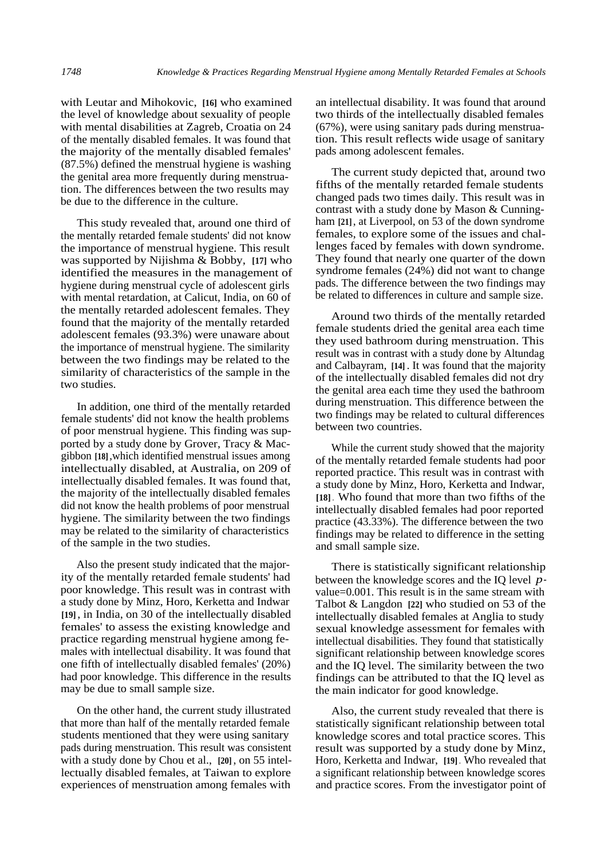with Leutar and Mihokovic, **[16]** who examined the level of knowledge about sexuality of people with mental disabilities at Zagreb, Croatia on 24 of the mentally disabled females. It was found that the majority of the mentally disabled females' (87.5%) defined the menstrual hygiene is washing the genital area more frequently during menstruation. The differences between the two results may be due to the difference in the culture.

This study revealed that, around one third of the mentally retarded female students' did not know the importance of menstrual hygiene. This result was supported by Nijishma & Bobby, **[17]** who identified the measures in the management of hygiene during menstrual cycle of adolescent girls with mental retardation, at Calicut, India, on 60 of the mentally retarded adolescent females. They found that the majority of the mentally retarded adolescent females (93.3%) were unaware about the importance of menstrual hygiene. The similarity between the two findings may be related to the similarity of characteristics of the sample in the two studies.

In addition, one third of the mentally retarded female students' did not know the health problems of poor menstrual hygiene. This finding was supported by a study done by Grover, Tracy & Macgibbon **[18]** ,which identified menstrual issues among intellectually disabled, at Australia, on 209 of intellectually disabled females. It was found that, the majority of the intellectually disabled females did not know the health problems of poor menstrual hygiene. The similarity between the two findings may be related to the similarity of characteristics of the sample in the two studies.

Also the present study indicated that the majority of the mentally retarded female students' had poor knowledge. This result was in contrast with a study done by Minz, Horo, Kerketta and Indwar **[19]** , in India, on 30 of the intellectually disabled females' to assess the existing knowledge and practice regarding menstrual hygiene among females with intellectual disability. It was found that one fifth of intellectually disabled females' (20%) had poor knowledge. This difference in the results may be due to small sample size.

On the other hand, the current study illustrated that more than half of the mentally retarded female students mentioned that they were using sanitary pads during menstruation. This result was consistent with a study done by Chou et al., **[20]** , on 55 intellectually disabled females, at Taiwan to explore experiences of menstruation among females with

an intellectual disability. It was found that around two thirds of the intellectually disabled females (67%), were using sanitary pads during menstruation. This result reflects wide usage of sanitary pads among adolescent females.

The current study depicted that, around two fifths of the mentally retarded female students changed pads two times daily. This result was in contrast with a study done by Mason & Cunningham **[21]**, at Liverpool, on 53 of the down syndrome females, to explore some of the issues and challenges faced by females with down syndrome. They found that nearly one quarter of the down syndrome females (24%) did not want to change pads. The difference between the two findings may be related to differences in culture and sample size.

Around two thirds of the mentally retarded female students dried the genital area each time they used bathroom during menstruation. This result was in contrast with a study done by Altundag and Calbayram, **[14]** . It was found that the majority of the intellectually disabled females did not dry the genital area each time they used the bathroom during menstruation. This difference between the two findings may be related to cultural differences between two countries.

While the current study showed that the majority of the mentally retarded female students had poor reported practice. This result was in contrast with a study done by Minz, Horo, Kerketta and Indwar, **[18]** . Who found that more than two fifths of the intellectually disabled females had poor reported practice (43.33%). The difference between the two findings may be related to difference in the setting and small sample size.

There is statistically significant relationship between the knowledge scores and the IQ level *p*value=0.001. This result is in the same stream with Talbot & Langdon **[22]** who studied on 53 of the intellectually disabled females at Anglia to study sexual knowledge assessment for females with intellectual disabilities. They found that statistically significant relationship between knowledge scores and the IQ level. The similarity between the two findings can be attributed to that the IQ level as the main indicator for good knowledge.

Also, the current study revealed that there is statistically significant relationship between total knowledge scores and total practice scores. This result was supported by a study done by Minz, Horo, Kerketta and Indwar, **[19]** . Who revealed that a significant relationship between knowledge scores and practice scores. From the investigator point of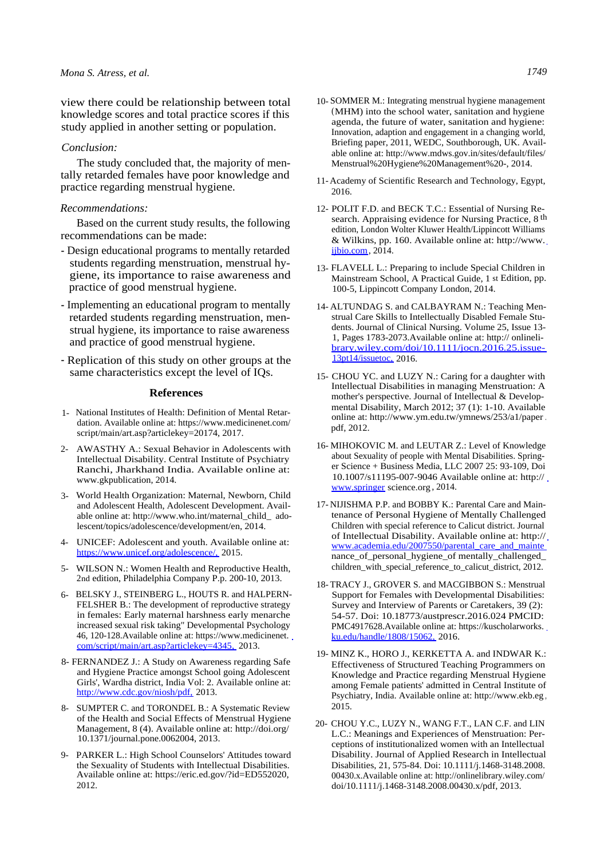view there could be relationship between total knowledge scores and total practice scores if this study applied in another setting or population.

## *Conclusion:*

The study concluded that, the majority of mentally retarded females have poor knowledge and practice regarding menstrual hygiene.

# *Recommendations:*

Based on the current study results, the following recommendations can be made:

- Design educational programs to mentally retarded students regarding menstruation, menstrual hygiene, its importance to raise awareness and practice of good menstrual hygiene.
- Implementing an educational program to mentally retarded students regarding menstruation, menstrual hygiene, its importance to raise awareness and practice of good menstrual hygiene.
- Replication of this study on other groups at the same characteristics except the level of IQs.

## **References**

- 1- National Institutes of Health: Definition of Mental Retardation. Available online at: https://www.medicinenet.com/ script/main/art.asp?articlekey=20174, 2017.
- 2- AWASTHY A.: Sexual Behavior in Adolescents with Intellectual Disability. Central Institute of Psychiatry Ranchi, Jharkhand India. Available online at: www.gkpublication, 2014.
- 3- World Health Organization: Maternal, Newborn, Child and Adolescent Health, Adolescent Development. Available online at: http://www.who.int/maternal\_child\_ adolescent/topics/adolescence/development/en, 2014.
- 4- UNICEF: Adolescent and youth. Available online at: <https://www.unicef.org/adolescence/,>2015.
- 5- WILSON N.: Women Health and Reproductive Health, 2ndedition, Philadelphia Company P.p. 200-10, 2013.
- 6- BELSKY J., STEINBERG L., HOUTS R. and HALPERN-FELSHER B.: The development of reproductive strategy in females: Early maternal harshness early menarche increased sexual risk taking" Developmental Psychology 46, 120-128.Available online at: https://www.medicinenet. [com/script/main/art.asp?articlekey=4345,](https://www.medicinenet.com/script/main/art.asp?articlekey=4345,) 2013.
- 8- FERNANDEZ J.: A Study on Awareness regarding Safe and Hygiene Practice amongst School going Adolescent Girls', Wardha district, India Vol: 2. Available online at: <http://www.cdc.gov/niosh/pdf,>2013.
- 8- SUMPTER C. and TORONDEL B.: A Systematic Review of the Health and Social Effects of Menstrual Hygiene Management, 8 (4). Available online at: http://doi.org/ 10.1371/journal.pone.0062004, 2013.
- 9- PARKER L.: High School Counselors' Attitudes toward the Sexuality of Students with Intellectual Disabilities. Available online at: https://eric.ed.gov/?id=ED552020, 2012.
- 10- SOMMER M.: Integrating menstrual hygiene management (MHM) into the school water, sanitation and hygiene agenda, the future of water, sanitation and hygiene: Innovation, adaption and engagement in a changing world, Briefing paper, 2011, WEDC, Southborough, UK. Available online at: http://www.mdws.gov.in/sites/default/files/ Menstrual%20Hygiene%20Management%20-, 2014.
- 11- Academy of Scientific Research and Technology, Egypt, 2016.
- 12- POLIT F.D. and BECK T.C.: Essential of Nursing Research. Appraising evidence for Nursing Practice, 8 th edition, London Wolter Kluwer Health/Lippincott Williams & Wilkins, pp. 160. Available online at: http://www. [ijbio.com](http://www.ijbio.com), 2014.
- 13- FLAVELL L.: Preparing to include Special Children in Mainstream School, A Practical Guide, 1 st Edition, pp. 100-5, Lippincott Company London, 2014.
- 14- ALTUNDAG S. and CALBAYRAM N.: Teaching Menstrual Care Skills to Intellectually Disabled Female Students. Journal of Clinical Nursing. Volume 25, Issue 13- 1, Pages 1783-2073.Available online at: http:// onlineli[brary.wiley.com/doi/10.1111/jocn.2016.25.issue-](http://onlineli-brary.wiley.com/doi/10.1111/jocn.2016.25.issue-13pt14/issuetoc,)[13pt14/issuetoc,](http://onlineli-brary.wiley.com/doi/10.1111/jocn.2016.25.issue-13pt14/issuetoc,) 2016.
- 15- CHOU YC. and LUZY N.: Caring for a daughter with Intellectual Disabilities in managing Menstruation: A mother's perspective. Journal of Intellectual & Developmental Disability, March 2012; 37 (1): 1-10. Available online at: http://www.ym.edu.tw/ymnews/253/a1/paper . pdf, 2012.
- 16- MIHOKOVIC M. and LEUTAR Z.: Level of Knowledge about Sexuality of people with Mental Disabilities. Springer Science + Business Media, LLC 2007 25: 93-109, Doi 10.1007/s11195-007-9046 Available online at: http:// [www.springer](http://www.springer) science.org, 2014.
- 17- NIJISHMA P.P. and BOBBY K.: Parental Care and Maintenance of Personal Hygiene of Mentally Challenged Children with special reference to Calicut district. Journal of Intellectual Disability. Available online at: http:// www.academia.edu/2007550/parental\_care\_and\_mainte nance\_of\_personal\_hygiene\_of mentally\_challenged\_ children\_with\_special\_reference\_to\_calicut\_district, 2012.
- 18- TRACY J., GROVER S. and MACGIBBON S.: Menstrual Support for Females with Developmental Disabilities: Survey and Interview of Parents or Caretakers, 39 (2): 54-57. Doi: 10.18773/austprescr.2016.024 PMCID: PMC4917628.Available online at: https://kuscholarworks. [ku.edu/handle/1808/15062,](https://kuscholarworks.ku.edu/handle/1808/15062,) 2016.
- 19- MINZ K., HORO J., KERKETTA A. and INDWAR K.: Effectiveness of Structured Teaching Programmers on Knowledge and Practice regarding Menstrual Hygiene among Female patients' admitted in Central Institute of Psychiatry, India. Available online at: http://www.ekb.eg , 2015.
- 20- CHOU Y.C., LUZY N., WANG F.T., LAN C.F. and LIN L.C.: Meanings and Experiences of Menstruation: Perceptions of institutionalized women with an Intellectual Disability. Journal of Applied Research in Intellectual Disabilities, 21, 575-84. Doi: 10.1111/j.1468-3148.2008. 00430.x.Available online at: http://onlinelibrary.wiley.com/ doi/10.1111/j.1468-3148.2008.00430.x/pdf, 2013.